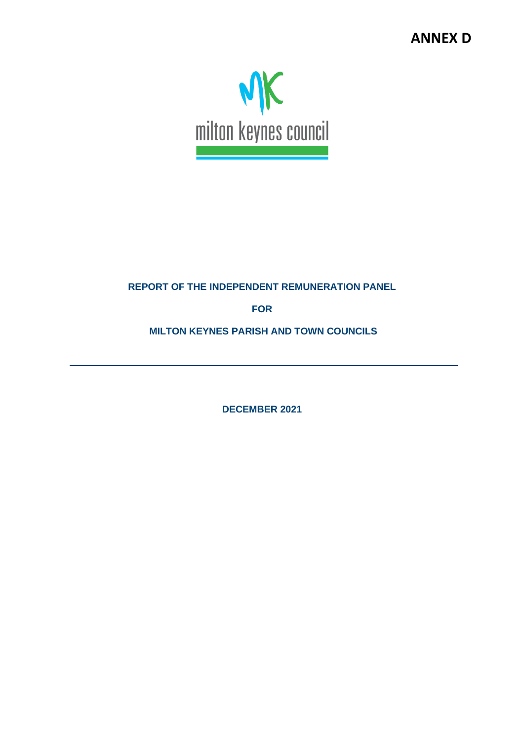

# **REPORT OF THE INDEPENDENT REMUNERATION PANEL**

**FOR**

**MILTON KEYNES PARISH AND TOWN COUNCILS**

**DECEMBER 2021**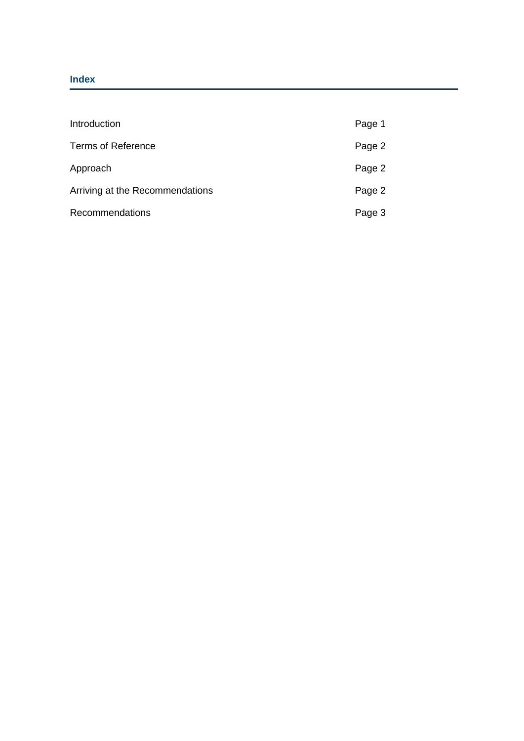## **Index**

| Introduction                    | Page 1 |
|---------------------------------|--------|
| <b>Terms of Reference</b>       | Page 2 |
| Approach                        | Page 2 |
| Arriving at the Recommendations | Page 2 |
| <b>Recommendations</b>          | Page 3 |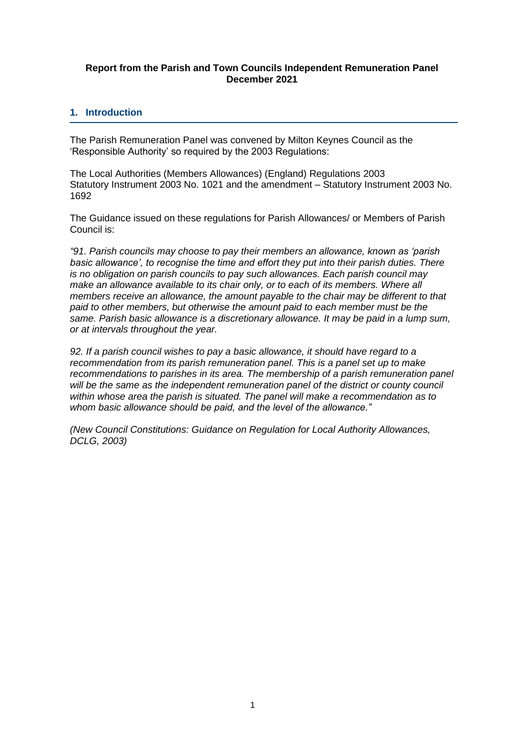#### **Report from the Parish and Town Councils Independent Remuneration Panel December 2021**

## **1. Introduction**

The Parish Remuneration Panel was convened by Milton Keynes Council as the 'Responsible Authority' so required by the 2003 Regulations:

The Local Authorities (Members Allowances) (England) Regulations 2003 Statutory Instrument 2003 No. 1021 and the amendment – Statutory Instrument 2003 No. 1692

The Guidance issued on these regulations for Parish Allowances/ or Members of Parish Council is:

*"91. Parish councils may choose to pay their members an allowance, known as 'parish basic allowance', to recognise the time and effort they put into their parish duties. There is no obligation on parish councils to pay such allowances. Each parish council may*  make an allowance available to its chair only, or to each of its members. Where all *members receive an allowance, the amount payable to the chair may be different to that paid to other members, but otherwise the amount paid to each member must be the same. Parish basic allowance is a discretionary allowance. It may be paid in a lump sum, or at intervals throughout the year.*

*92. If a parish council wishes to pay a basic allowance, it should have regard to a recommendation from its parish remuneration panel. This is a panel set up to make recommendations to parishes in its area. The membership of a parish remuneration panel will be the same as the independent remuneration panel of the district or county council within whose area the parish is situated. The panel will make a recommendation as to whom basic allowance should be paid, and the level of the allowance."*

*(New Council Constitutions: Guidance on Regulation for Local Authority Allowances, DCLG, 2003)*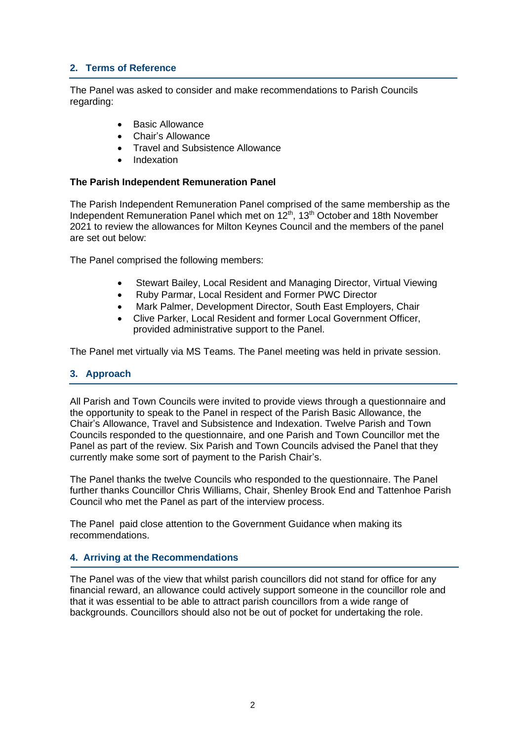# **2. Terms of Reference**

The Panel was asked to consider and make recommendations to Parish Councils regarding:

- Basic Allowance
- Chair's Allowance
- Travel and Subsistence Allowance
- Indexation

#### **The Parish Independent Remuneration Panel**

The Parish Independent Remuneration Panel comprised of the same membership as the Independent Remuneration Panel which met on 12<sup>th</sup>, 13<sup>th</sup> October and 18th November 2021 to review the allowances for Milton Keynes Council and the members of the panel are set out below:

The Panel comprised the following members:

- Stewart Bailey, Local Resident and Managing Director, Virtual Viewing
- Ruby Parmar, Local Resident and Former PWC Director
- Mark Palmer, Development Director, South East Employers, Chair
- Clive Parker, Local Resident and former Local Government Officer, provided administrative support to the Panel.

The Panel met virtually via MS Teams. The Panel meeting was held in private session.

# **3. Approach**

All Parish and Town Councils were invited to provide views through a questionnaire and the opportunity to speak to the Panel in respect of the Parish Basic Allowance, the Chair's Allowance, Travel and Subsistence and Indexation. Twelve Parish and Town Councils responded to the questionnaire, and one Parish and Town Councillor met the Panel as part of the review. Six Parish and Town Councils advised the Panel that they currently make some sort of payment to the Parish Chair's.

The Panel thanks the twelve Councils who responded to the questionnaire. The Panel further thanks Councillor Chris Williams, Chair, Shenley Brook End and Tattenhoe Parish Council who met the Panel as part of the interview process.

The Panel paid close attention to the Government Guidance when making its recommendations.

# **4. Arriving at the Recommendations**

The Panel was of the view that whilst parish councillors did not stand for office for any financial reward, an allowance could actively support someone in the councillor role and that it was essential to be able to attract parish councillors from a wide range of backgrounds. Councillors should also not be out of pocket for undertaking the role.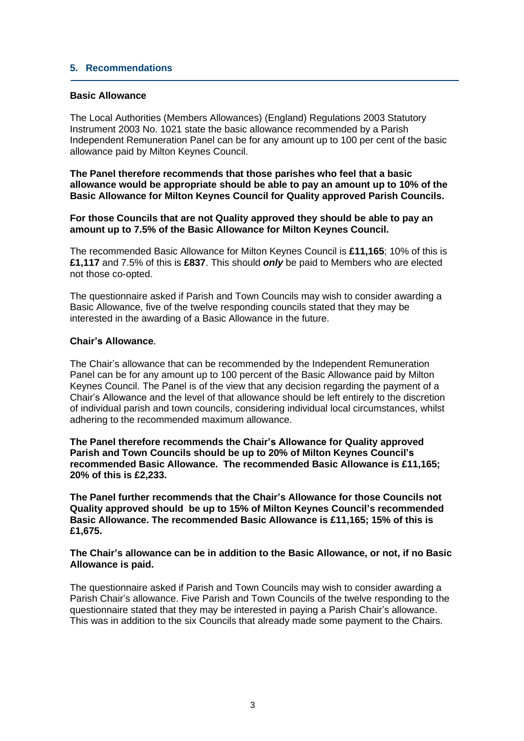### **5. Recommendations**

### **Basic Allowance**

The Local Authorities (Members Allowances) (England) Regulations 2003 Statutory Instrument 2003 No. 1021 state the basic allowance recommended by a Parish Independent Remuneration Panel can be for any amount up to 100 per cent of the basic allowance paid by Milton Keynes Council.

**The Panel therefore recommends that those parishes who feel that a basic allowance would be appropriate should be able to pay an amount up to 10% of the Basic Allowance for Milton Keynes Council for Quality approved Parish Councils.**

**For those Councils that are not Quality approved they should be able to pay an amount up to 7.5% of the Basic Allowance for Milton Keynes Council.**

The recommended Basic Allowance for Milton Keynes Council is **£11,165**; 10% of this is **£1,117** and 7.5% of this is **£837**. This should *only* be paid to Members who are elected not those co-opted.

The questionnaire asked if Parish and Town Councils may wish to consider awarding a Basic Allowance, five of the twelve responding councils stated that they may be interested in the awarding of a Basic Allowance in the future.

#### **Chair's Allowance**.

The Chair's allowance that can be recommended by the Independent Remuneration Panel can be for any amount up to 100 percent of the Basic Allowance paid by Milton Keynes Council. The Panel is of the view that any decision regarding the payment of a Chair's Allowance and the level of that allowance should be left entirely to the discretion of individual parish and town councils, considering individual local circumstances, whilst adhering to the recommended maximum allowance.

**The Panel therefore recommends the Chair's Allowance for Quality approved Parish and Town Councils should be up to 20% of Milton Keynes Council's recommended Basic Allowance. The recommended Basic Allowance is £11,165; 20% of this is £2,233.**

**The Panel further recommends that the Chair's Allowance for those Councils not Quality approved should be up to 15% of Milton Keynes Council's recommended Basic Allowance. The recommended Basic Allowance is £11,165; 15% of this is £1,675.**

**The Chair's allowance can be in addition to the Basic Allowance, or not, if no Basic Allowance is paid.**

The questionnaire asked if Parish and Town Councils may wish to consider awarding a Parish Chair's allowance. Five Parish and Town Councils of the twelve responding to the questionnaire stated that they may be interested in paying a Parish Chair's allowance. This was in addition to the six Councils that already made some payment to the Chairs.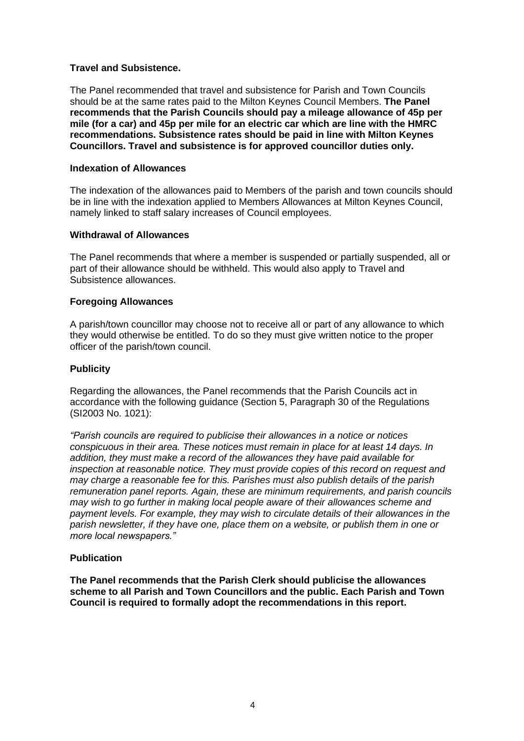### **Travel and Subsistence.**

The Panel recommended that travel and subsistence for Parish and Town Councils should be at the same rates paid to the Milton Keynes Council Members. **The Panel recommends that the Parish Councils should pay a mileage allowance of 45p per mile (for a car) and 45p per mile for an electric car which are line with the HMRC recommendations. Subsistence rates should be paid in line with Milton Keynes Councillors. Travel and subsistence is for approved councillor duties only.**

#### **Indexation of Allowances**

The indexation of the allowances paid to Members of the parish and town councils should be in line with the indexation applied to Members Allowances at Milton Keynes Council, namely linked to staff salary increases of Council employees.

#### **Withdrawal of Allowances**

The Panel recommends that where a member is suspended or partially suspended, all or part of their allowance should be withheld. This would also apply to Travel and Subsistence allowances.

#### **Foregoing Allowances**

A parish/town councillor may choose not to receive all or part of any allowance to which they would otherwise be entitled. To do so they must give written notice to the proper officer of the parish/town council.

## **Publicity**

Regarding the allowances, the Panel recommends that the Parish Councils act in accordance with the following guidance (Section 5, Paragraph 30 of the Regulations (SI2003 No. 1021):

*"Parish councils are required to publicise their allowances in a notice or notices conspicuous in their area. These notices must remain in place for at least 14 days. In addition, they must make a record of the allowances they have paid available for inspection at reasonable notice. They must provide copies of this record on request and may charge a reasonable fee for this. Parishes must also publish details of the parish remuneration panel reports. Again, these are minimum requirements, and parish councils may wish to go further in making local people aware of their allowances scheme and payment levels. For example, they may wish to circulate details of their allowances in the parish newsletter, if they have one, place them on a website, or publish them in one or more local newspapers."*

#### **Publication**

**The Panel recommends that the Parish Clerk should publicise the allowances scheme to all Parish and Town Councillors and the public. Each Parish and Town Council is required to formally adopt the recommendations in this report.**